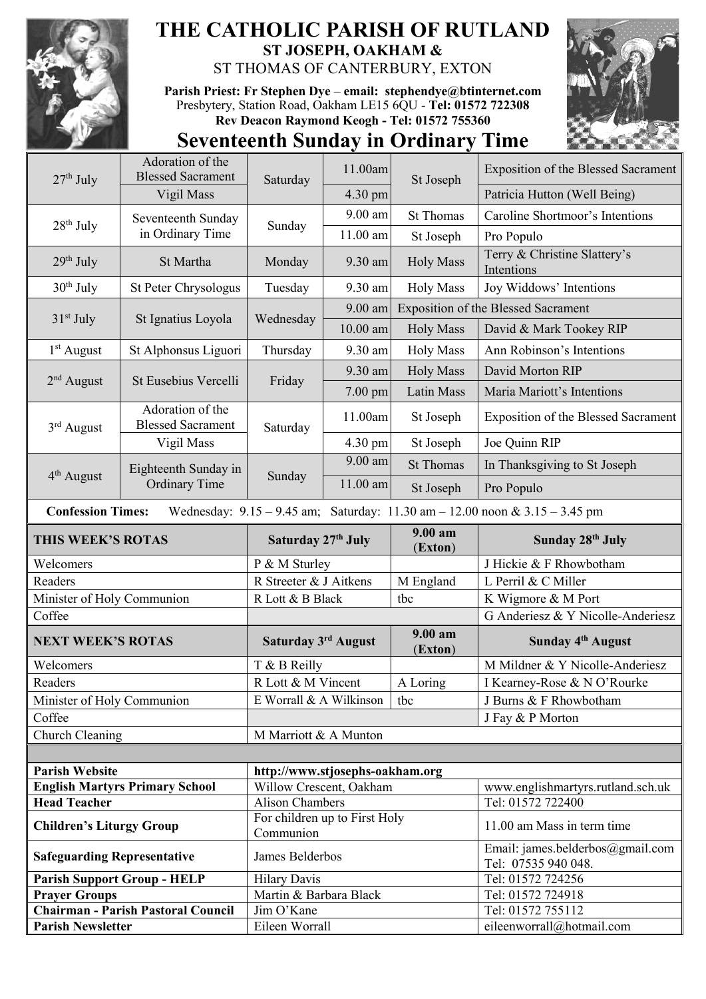

## **THE CATHOLIC PARISH OF RUTLAND ST JOSEPH, OAKHAM &**  ST THOMAS OF CANTERBURY, EXTON

**Parish Priest: Fr Stephen Dye** – **[email: stephendye@btinternet.com](mailto:email:%20%20stephendye@btinternet.com)** Presbytery, Station Road, Oakham LE15 6QU - **Tel: 01572 722308 Rev Deacon Raymond Keogh - Tel: 01572 755360**



## **Seventeenth Sunday in Ordinary Time**

| $27th$ July                                                                                                     | Adoration of the<br><b>Blessed Sacrament</b> | Saturday                                                             | 11.00am    | St Joseph          | <b>Exposition of the Blessed Sacrament</b>              |  |
|-----------------------------------------------------------------------------------------------------------------|----------------------------------------------|----------------------------------------------------------------------|------------|--------------------|---------------------------------------------------------|--|
|                                                                                                                 | Vigil Mass                                   |                                                                      | 4.30 pm    |                    | Patricia Hutton (Well Being)                            |  |
| $28th$ July                                                                                                     | Seventeenth Sunday<br>in Ordinary Time       | Sunday                                                               | $9.00$ am  | <b>St Thomas</b>   | Caroline Shortmoor's Intentions                         |  |
|                                                                                                                 |                                              |                                                                      | $11.00$ am | St Joseph          | Pro Populo                                              |  |
| $29th$ July                                                                                                     | St Martha                                    | Monday                                                               | 9.30 am    | <b>Holy Mass</b>   | Terry & Christine Slattery's<br>Intentions              |  |
| $30th$ July                                                                                                     | <b>St Peter Chrysologus</b>                  | Tuesday                                                              | 9.30 am    | <b>Holy Mass</b>   | Joy Widdows' Intentions                                 |  |
|                                                                                                                 |                                              | Wednesday                                                            | 9.00 am    |                    | <b>Exposition of the Blessed Sacrament</b>              |  |
| $31st$ July                                                                                                     | St Ignatius Loyola                           |                                                                      | $10.00$ am | <b>Holy Mass</b>   | David & Mark Tookey RIP                                 |  |
| $1st$ August                                                                                                    | St Alphonsus Liguori                         | Thursday                                                             | 9.30 am    | <b>Holy Mass</b>   | Ann Robinson's Intentions                               |  |
|                                                                                                                 |                                              |                                                                      | 9.30 am    | <b>Holy Mass</b>   | David Morton RIP                                        |  |
| $2nd$ August                                                                                                    | St Eusebius Vercelli                         | Friday<br>Saturday                                                   | 7.00 pm    | Latin Mass         | Maria Mariott's Intentions                              |  |
| $3rd$ August                                                                                                    | Adoration of the<br><b>Blessed Sacrament</b> |                                                                      | 11.00am    | St Joseph          | <b>Exposition of the Blessed Sacrament</b>              |  |
|                                                                                                                 | Vigil Mass                                   |                                                                      | 4.30 pm    | St Joseph          | Joe Quinn RIP                                           |  |
|                                                                                                                 | Eighteenth Sunday in<br><b>Ordinary Time</b> | Sunday                                                               | 9.00 am    | <b>St Thomas</b>   | In Thanksgiving to St Joseph                            |  |
| 4 <sup>th</sup> August                                                                                          |                                              |                                                                      | 11.00 am   | St Joseph          | Pro Populo                                              |  |
| Wednesday: $9.15 - 9.45$ am; Saturday: $11.30$ am $- 12.00$ noon & $3.15 - 3.45$ pm<br><b>Confession Times:</b> |                                              |                                                                      |            |                    |                                                         |  |
| THIS WEEK'S ROTAS                                                                                               |                                              | Saturday 27th July                                                   |            | 9.00 am            | Sunday 28th July                                        |  |
|                                                                                                                 |                                              |                                                                      |            | (Exton)            |                                                         |  |
| Welcomers                                                                                                       |                                              | P & M Sturley                                                        |            |                    | J Hickie & F Rhowbotham                                 |  |
| Readers                                                                                                         |                                              | R Streeter & J Aitkens                                               |            | M England          | L Perril & C Miller                                     |  |
| Minister of Holy Communion                                                                                      |                                              | R Lott & B Black                                                     |            | tbc                | K Wigmore & M Port                                      |  |
| Coffee                                                                                                          |                                              |                                                                      |            |                    | G Anderiesz & Y Nicolle-Anderiesz                       |  |
| <b>NEXT WEEK'S ROTAS</b>                                                                                        |                                              | Saturday 3rd August                                                  |            | 9.00 am<br>(Exton) | Sunday 4 <sup>th</sup> August                           |  |
| Welcomers                                                                                                       |                                              | T & B Reilly                                                         |            |                    | M Mildner & Y Nicolle-Anderiesz                         |  |
| Readers                                                                                                         |                                              | R Lott & M Vincent                                                   |            | A Loring           | I Kearney-Rose & N O'Rourke                             |  |
| Minister of Holy Communion                                                                                      |                                              | E Worrall & A Wilkinson                                              |            | tbc                | J Burns & F Rhowbotham                                  |  |
| Coffee                                                                                                          |                                              |                                                                      |            |                    | J Fay & P Morton                                        |  |
| Church Cleaning                                                                                                 |                                              | M Marriott & A Munton                                                |            |                    |                                                         |  |
|                                                                                                                 |                                              |                                                                      |            |                    |                                                         |  |
| <b>Parish Website</b>                                                                                           |                                              | http://www.stjosephs-oakham.org                                      |            |                    |                                                         |  |
|                                                                                                                 | <b>English Martyrs Primary School</b>        | Willow Crescent, Oakham                                              |            |                    | www.englishmartyrs.rutland.sch.uk                       |  |
| <b>Head Teacher</b><br><b>Children's Liturgy Group</b>                                                          |                                              | <b>Alison Chambers</b><br>For children up to First Holy<br>Communion |            |                    | Tel: 01572 722400<br>11.00 am Mass in term time         |  |
| <b>Safeguarding Representative</b>                                                                              |                                              | James Belderbos                                                      |            |                    | Email: james.belderbos@gmail.com<br>Tel: 07535 940 048. |  |
|                                                                                                                 | <b>Parish Support Group - HELP</b>           | <b>Hilary Davis</b>                                                  |            |                    | Tel: 01572 724256                                       |  |
| <b>Prayer Groups</b>                                                                                            |                                              | Martin & Barbara Black                                               |            |                    | Tel: 01572 724918                                       |  |
| <b>Parish Newsletter</b>                                                                                        | <b>Chairman - Parish Pastoral Council</b>    | Jim O'Kane<br>Eileen Worrall                                         |            |                    | Tel: 01572 755112<br>eileenworrall@hotmail.com          |  |